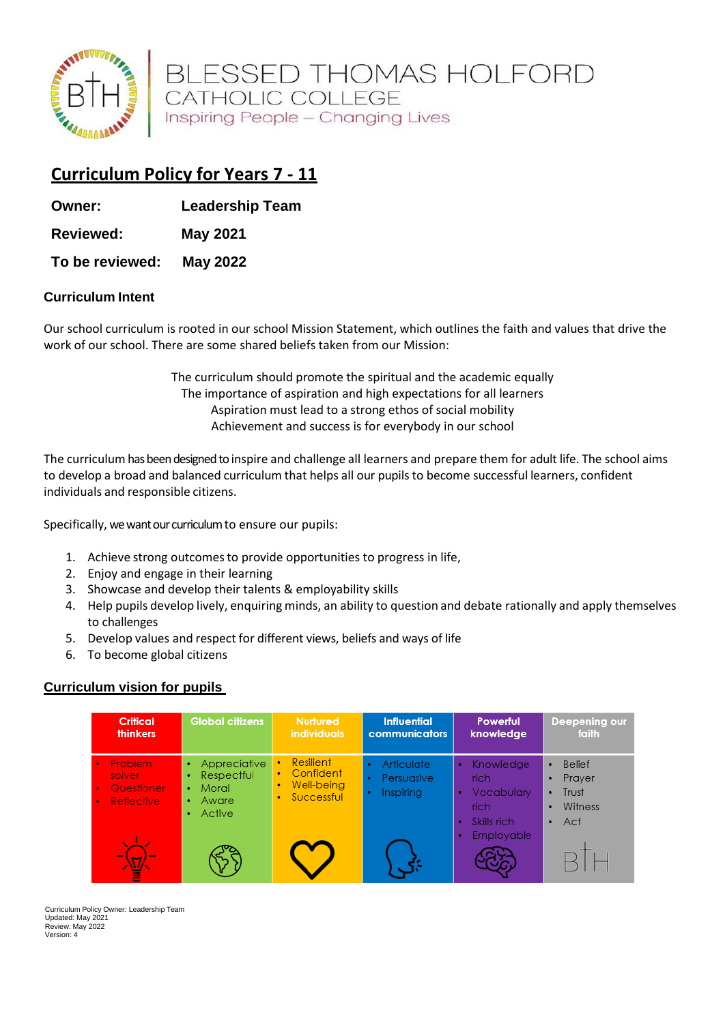

BLESSED THOMAS HOLFORD<br>CATHOLIC COLLEGE Inspiring People - Changing Lives

# **Curriculum Policy for Years 7 - 11**

**Owner: Leadership Team** 

**Reviewed: May 2021**

**To be reviewed: May 2022**

#### **Curriculum Intent**

Our school curriculum is rooted in our school Mission Statement, which outlines the faith and values that drive the work of our school. There are some shared beliefs taken from our Mission:

> The curriculum should promote the spiritual and the academic equally The importance of aspiration and high expectations for all learners Aspiration must lead to a strong ethos of social mobility Achievement and success is for everybody in our school

The curriculum has been designed to inspire and challenge all learners and prepare them for adult life. The school aims to develop a broad and balanced curriculum that helps all our pupils to become successful learners, confident individuals and responsible citizens.

Specifically, we want our curriculum to ensure our pupils:

- 1. Achieve strong outcomesto provide opportunities to progress in life,
- 2. Enjoy and engage in their learning
- 3. Showcase and develop their talents & employability skills
- 4. Help pupils develop lively, enquiring minds, an ability to question and debate rationally and apply themselves to challenges
- 5. Develop values and respect for different views, beliefs and ways of life
- 6. To become global citizens

#### **Curriculum vision for pupils**

| <b>Critical</b><br><b>thinkers</b>                                                          | <b>Global citizens</b>                                                             | <b>Nurtured</b><br><b>individuals</b>                             | <b>Influential</b><br>communicators   | Powerful<br>knowledge                                  | Deepening our<br>faith                                               |
|---------------------------------------------------------------------------------------------|------------------------------------------------------------------------------------|-------------------------------------------------------------------|---------------------------------------|--------------------------------------------------------|----------------------------------------------------------------------|
| Problem<br>$\bullet$<br>solver<br><b>Questioner</b><br>$\bullet$<br>Reflective<br>$\bullet$ | Appreciative<br>Respectful<br>٠<br>Moral<br>$\bullet$<br>Aware<br>٠<br>Active<br>۰ | Resilient<br>٠<br>Confident<br>٠<br>Well-being<br>٠<br>Successful | Articulate<br>Persuasive<br>Inspiring | Knowledge<br>rich<br>Vocabulary<br>rich<br>Skills rich | Belief<br>٠<br>Prayer<br>٠<br>Trust<br>٠<br>Witness<br>٠<br>Act<br>٠ |
| w                                                                                           |                                                                                    |                                                                   |                                       | Employable                                             |                                                                      |

Curriculum Policy Owner: Leadership Team Updated: May 2021 Review: May 2022 Version: 4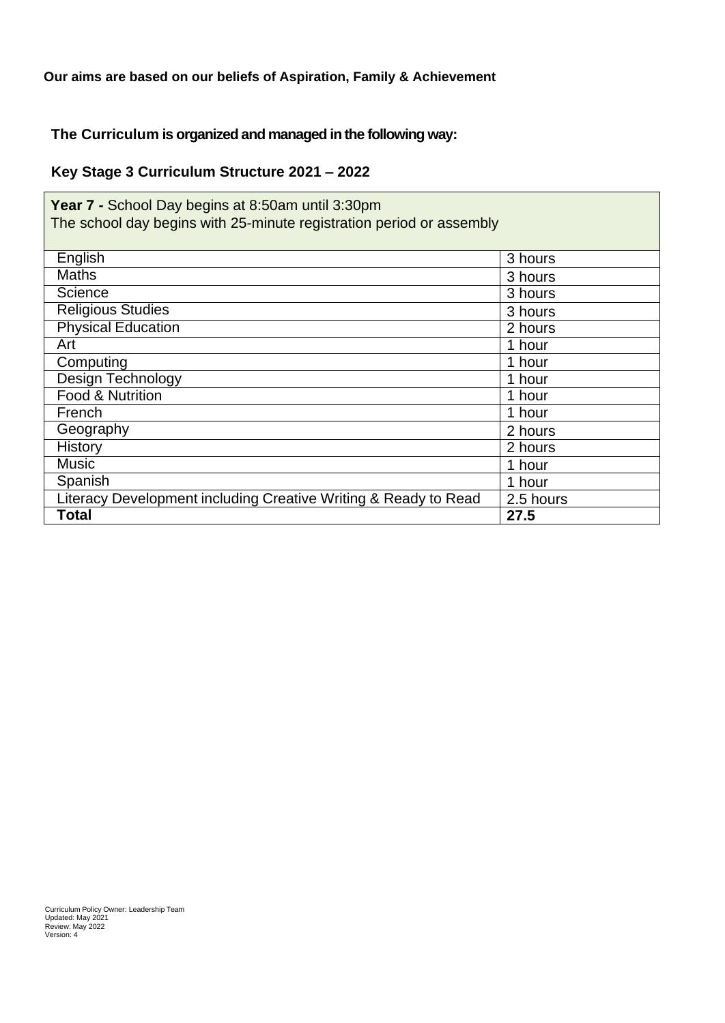## **Our aims are based on our beliefs of Aspiration, Family & Achievement**

#### **The Curriculum is organized and managed in the following way:**

### **Key Stage 3 Curriculum Structure 2021 – 2022**

| Year 7 - School Day begins at 8:50am until 3:30pm<br>The school day begins with 25-minute registration period or assembly |           |  |  |
|---------------------------------------------------------------------------------------------------------------------------|-----------|--|--|
| English                                                                                                                   | 3 hours   |  |  |
| <b>Maths</b>                                                                                                              | 3 hours   |  |  |
| Science                                                                                                                   | 3 hours   |  |  |
| <b>Religious Studies</b>                                                                                                  | 3 hours   |  |  |
| <b>Physical Education</b>                                                                                                 | 2 hours   |  |  |
| Art                                                                                                                       | 1 hour    |  |  |
| Computing                                                                                                                 | 1 hour    |  |  |
| Design Technology                                                                                                         | 1 hour    |  |  |
| <b>Food &amp; Nutrition</b>                                                                                               | 1 hour    |  |  |
| French                                                                                                                    | 1 hour    |  |  |
| Geography                                                                                                                 | 2 hours   |  |  |
| History                                                                                                                   | 2 hours   |  |  |
| <b>Music</b>                                                                                                              | 1 hour    |  |  |
| Spanish                                                                                                                   | 1 hour    |  |  |
| Literacy Development including Creative Writing & Ready to Read                                                           | 2.5 hours |  |  |
| Total                                                                                                                     | 27.5      |  |  |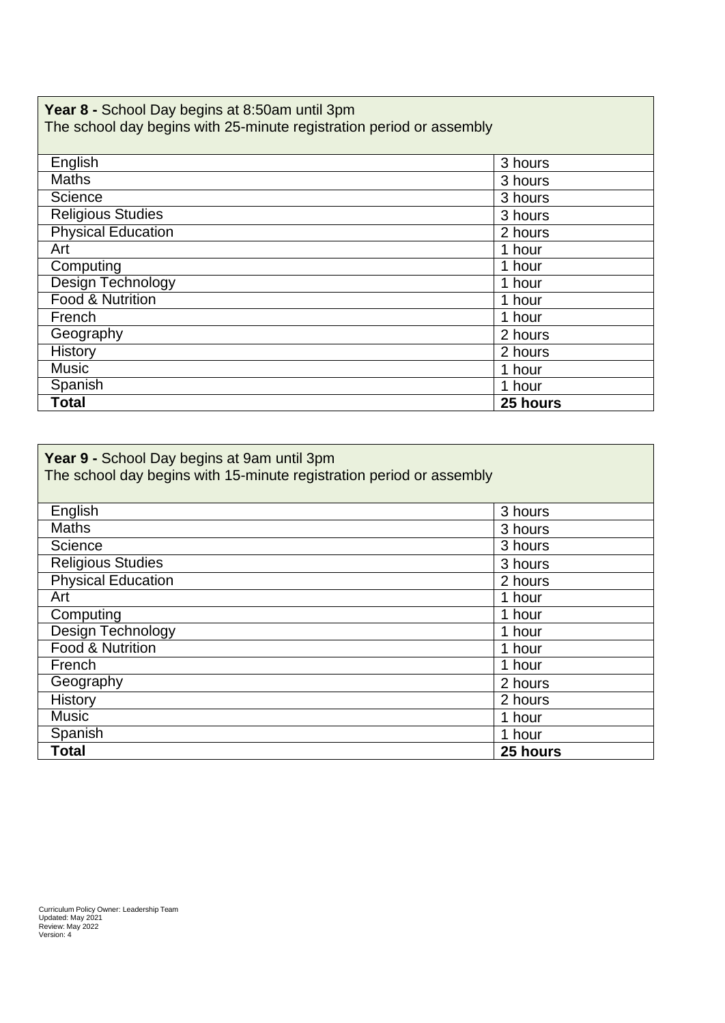#### **Year 8 -** School Day begins at 8:50am until 3pm The school day begins with 25-minute registration period or assembly

| English                   | 3 hours  |
|---------------------------|----------|
| <b>Maths</b>              | 3 hours  |
| Science                   | 3 hours  |
| <b>Religious Studies</b>  | 3 hours  |
| <b>Physical Education</b> | 2 hours  |
| Art                       | 1 hour   |
| Computing                 | 1 hour   |
| Design Technology         | 1 hour   |
| Food & Nutrition          | 1 hour   |
| French                    | 1 hour   |
| Geography                 | 2 hours  |
| History                   | 2 hours  |
| <b>Music</b>              | 1 hour   |
| Spanish                   | 1 hour   |
| <b>Total</b>              | 25 hours |

| Year 9 - School Day begins at 9am until 3pm<br>The school day begins with 15-minute registration period or assembly |          |  |  |
|---------------------------------------------------------------------------------------------------------------------|----------|--|--|
| English                                                                                                             | 3 hours  |  |  |
| Maths                                                                                                               | 3 hours  |  |  |
| Science                                                                                                             | 3 hours  |  |  |
| <b>Religious Studies</b>                                                                                            | 3 hours  |  |  |
| <b>Physical Education</b>                                                                                           | 2 hours  |  |  |
| Art                                                                                                                 | 1 hour   |  |  |
| Computing                                                                                                           | 1 hour   |  |  |
| Design Technology                                                                                                   | 1 hour   |  |  |
| Food & Nutrition                                                                                                    | 1 hour   |  |  |
| French                                                                                                              | 1 hour   |  |  |
| Geography                                                                                                           | 2 hours  |  |  |
| <b>History</b>                                                                                                      | 2 hours  |  |  |
| <b>Music</b>                                                                                                        | 1 hour   |  |  |
| Spanish                                                                                                             | 1 hour   |  |  |
| Total                                                                                                               | 25 hours |  |  |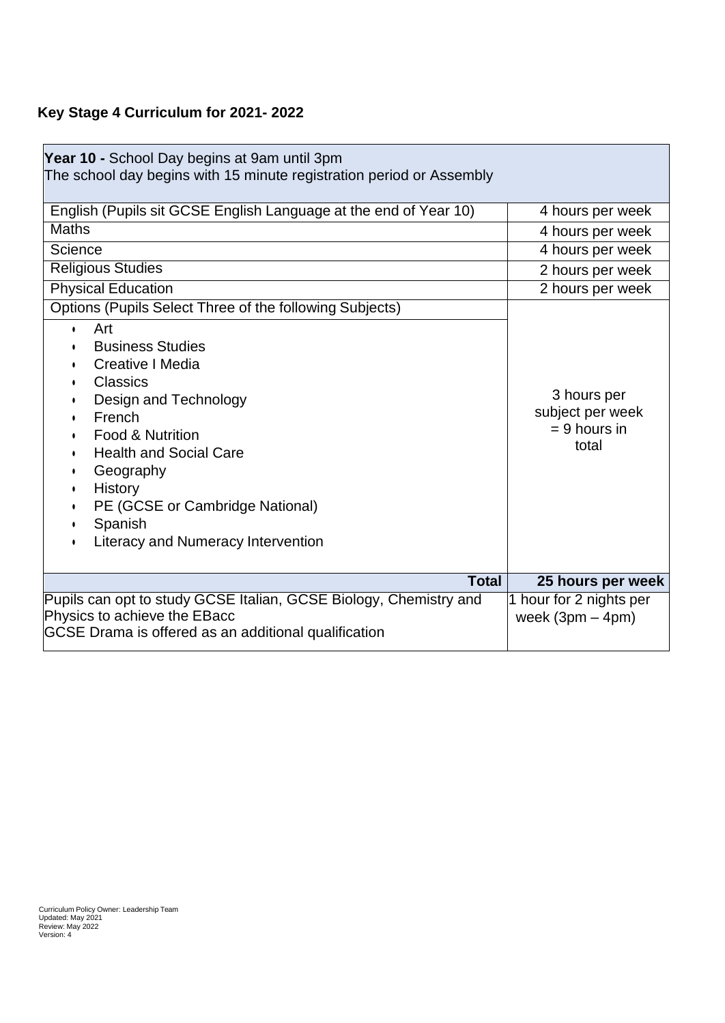# **Key Stage 4 Curriculum for 2021- 2022**

| Year 10 - School Day begins at 9am until 3pm<br>The school day begins with 15 minute registration period or Assembly                                                                                                                                                                             |                                                            |
|--------------------------------------------------------------------------------------------------------------------------------------------------------------------------------------------------------------------------------------------------------------------------------------------------|------------------------------------------------------------|
| English (Pupils sit GCSE English Language at the end of Year 10)                                                                                                                                                                                                                                 | 4 hours per week                                           |
| <b>Maths</b>                                                                                                                                                                                                                                                                                     | 4 hours per week                                           |
| Science                                                                                                                                                                                                                                                                                          | 4 hours per week                                           |
| <b>Religious Studies</b>                                                                                                                                                                                                                                                                         | 2 hours per week                                           |
| <b>Physical Education</b>                                                                                                                                                                                                                                                                        | 2 hours per week                                           |
| Options (Pupils Select Three of the following Subjects)                                                                                                                                                                                                                                          |                                                            |
| Art<br>$\bullet$<br><b>Business Studies</b><br>Creative   Media<br><b>Classics</b><br>Design and Technology<br>French<br>Food & Nutrition<br><b>Health and Social Care</b><br>Geography<br>٠<br>History<br>PE (GCSE or Cambridge National)<br>Spanish<br>٠<br>Literacy and Numeracy Intervention | 3 hours per<br>subject per week<br>$= 9$ hours in<br>total |
| <b>Total</b>                                                                                                                                                                                                                                                                                     | 25 hours per week                                          |
| Pupils can opt to study GCSE Italian, GCSE Biology, Chemistry and<br>Physics to achieve the EBacc<br>GCSE Drama is offered as an additional qualification                                                                                                                                        | 1 hour for 2 nights per<br>week $(3pm - 4pm)$              |